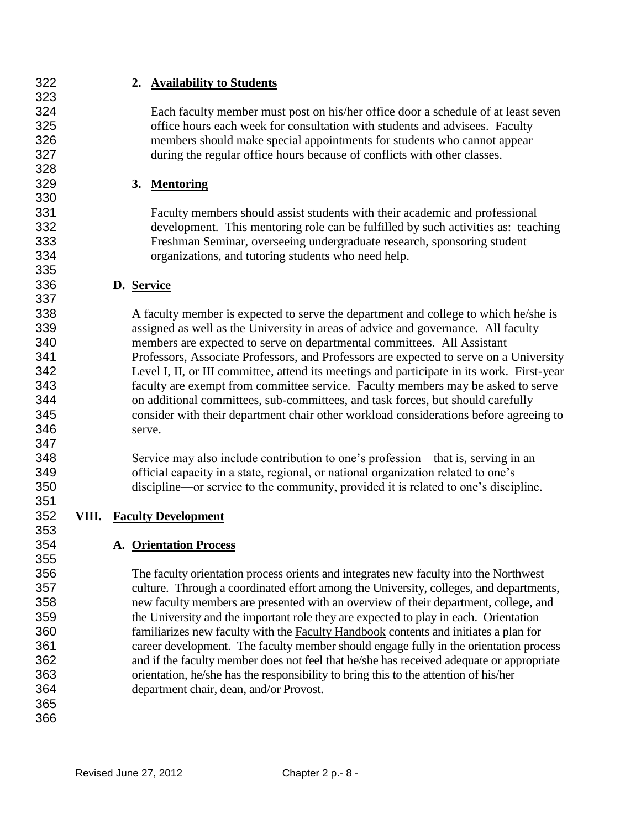**2. Availability to Students** Each faculty member must post on his/her office door a schedule of at least seven office hours each week for consultation with students and advisees. Faculty members should make special appointments for students who cannot appear during the regular office hours because of conflicts with other classes. **3. Mentoring** Faculty members should assist students with their academic and professional development. This mentoring role can be fulfilled by such activities as: teaching Freshman Seminar, overseeing undergraduate research, sponsoring student organizations, and tutoring students who need help. **D. Service** A faculty member is expected to serve the department and college to which he/she is assigned as well as the University in areas of advice and governance. All faculty members are expected to serve on departmental committees. All Assistant Professors, Associate Professors, and Professors are expected to serve on a University Level I, II, or III committee, attend its meetings and participate in its work. First-year faculty are exempt from committee service. Faculty members may be asked to serve on additional committees, sub-committees, and task forces, but should carefully consider with their department chair other workload considerations before agreeing to serve. Service may also include contribution to one's profession—that is, serving in an official capacity in a state, regional, or national organization related to one's discipline—or service to the community, provided it is related to one's discipline. **VIII. Faculty Development** 

#### **A. Orientation Process**

 The faculty orientation process orients and integrates new faculty into the Northwest culture. Through a coordinated effort among the University, colleges, and departments, new faculty members are presented with an overview of their department, college, and the University and the important role they are expected to play in each. Orientation familiarizes new faculty with the Faculty Handbook contents and initiates a plan for career development. The faculty member should engage fully in the orientation process and if the faculty member does not feel that he/she has received adequate or appropriate orientation, he/she has the responsibility to bring this to the attention of his/her department chair, dean, and/or Provost.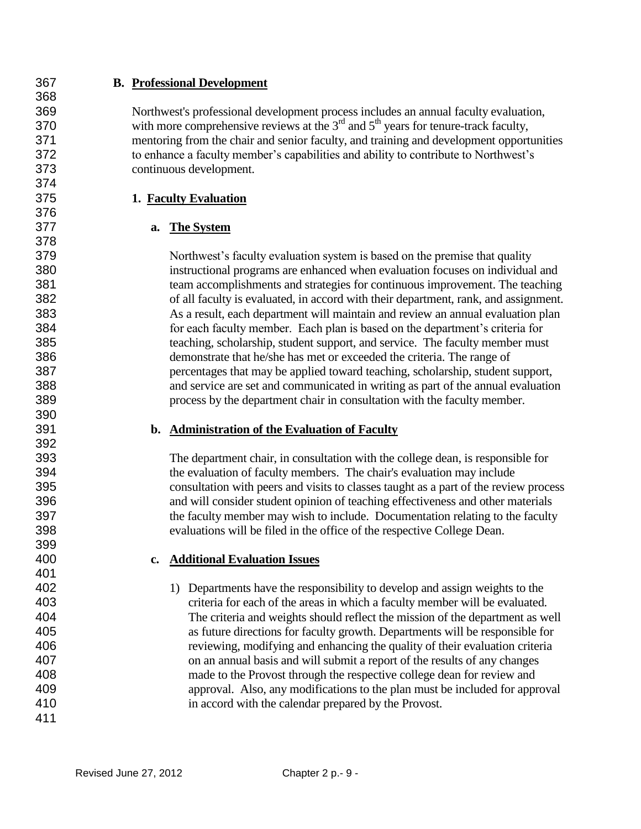## **B. Professional Development**

 Northwest's professional development process includes an annual faculty evaluation, 370 with more comprehensive reviews at the  $3<sup>rd</sup>$  and  $5<sup>th</sup>$  years for tenure-track faculty, mentoring from the chair and senior faculty, and training and development opportunities to enhance a faculty member's capabilities and ability to contribute to Northwest's continuous development.

## **1. Faculty Evaluation**

# **a. The System**

 Northwest's faculty evaluation system is based on the premise that quality instructional programs are enhanced when evaluation focuses on individual and team accomplishments and strategies for continuous improvement. The teaching of all faculty is evaluated, in accord with their department, rank, and assignment. As a result, each department will maintain and review an annual evaluation plan for each faculty member. Each plan is based on the department's criteria for teaching, scholarship, student support, and service. The faculty member must demonstrate that he/she has met or exceeded the criteria. The range of percentages that may be applied toward teaching, scholarship, student support, and service are set and communicated in writing as part of the annual evaluation process by the department chair in consultation with the faculty member.

#### **b. Administration of the Evaluation of Faculty**

 The department chair, in consultation with the college dean, is responsible for the evaluation of faculty members. The chair's evaluation may include consultation with peers and visits to classes taught as a part of the review process and will consider student opinion of teaching effectiveness and other materials the faculty member may wish to include. Documentation relating to the faculty evaluations will be filed in the office of the respective College Dean.

# **c. Additional Evaluation Issues**

 1) Departments have the responsibility to develop and assign weights to the criteria for each of the areas in which a faculty member will be evaluated. The criteria and weights should reflect the mission of the department as well as future directions for faculty growth. Departments will be responsible for reviewing, modifying and enhancing the quality of their evaluation criteria on an annual basis and will submit a report of the results of any changes made to the Provost through the respective college dean for review and approval. Also, any modifications to the plan must be included for approval in accord with the calendar prepared by the Provost.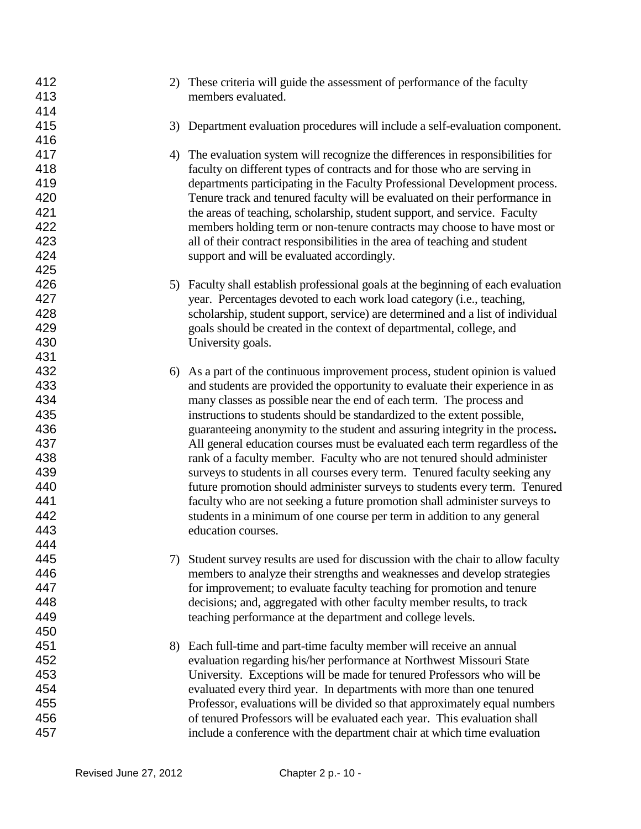| 412<br>413 |    | 2) These criteria will guide the assessment of performance of the faculty<br>members evaluated.                                                     |
|------------|----|-----------------------------------------------------------------------------------------------------------------------------------------------------|
| 414        |    |                                                                                                                                                     |
| 415        |    | 3) Department evaluation procedures will include a self-evaluation component.                                                                       |
| 416        |    |                                                                                                                                                     |
| 417        |    | 4) The evaluation system will recognize the differences in responsibilities for                                                                     |
| 418        |    | faculty on different types of contracts and for those who are serving in                                                                            |
| 419        |    | departments participating in the Faculty Professional Development process.                                                                          |
| 420        |    | Tenure track and tenured faculty will be evaluated on their performance in                                                                          |
| 421        |    | the areas of teaching, scholarship, student support, and service. Faculty                                                                           |
| 422        |    | members holding term or non-tenure contracts may choose to have most or                                                                             |
| 423        |    | all of their contract responsibilities in the area of teaching and student                                                                          |
| 424        |    | support and will be evaluated accordingly.                                                                                                          |
| 425        |    |                                                                                                                                                     |
| 426        |    | 5) Faculty shall establish professional goals at the beginning of each evaluation                                                                   |
| 427        |    | year. Percentages devoted to each work load category (i.e., teaching,                                                                               |
| 428        |    | scholarship, student support, service) are determined and a list of individual                                                                      |
| 429        |    | goals should be created in the context of departmental, college, and                                                                                |
| 430        |    | University goals.                                                                                                                                   |
| 431        |    |                                                                                                                                                     |
| 432        | 6) | As a part of the continuous improvement process, student opinion is valued                                                                          |
| 433        |    | and students are provided the opportunity to evaluate their experience in as                                                                        |
| 434        |    | many classes as possible near the end of each term. The process and                                                                                 |
| 435        |    | instructions to students should be standardized to the extent possible,                                                                             |
| 436        |    | guaranteeing anonymity to the student and assuring integrity in the process.                                                                        |
| 437        |    | All general education courses must be evaluated each term regardless of the                                                                         |
| 438        |    | rank of a faculty member. Faculty who are not tenured should administer                                                                             |
| 439        |    | surveys to students in all courses every term. Tenured faculty seeking any                                                                          |
| 440        |    | future promotion should administer surveys to students every term. Tenured                                                                          |
| 441        |    | faculty who are not seeking a future promotion shall administer surveys to                                                                          |
| 442        |    | students in a minimum of one course per term in addition to any general                                                                             |
| 443        |    | education courses.                                                                                                                                  |
| 444        |    |                                                                                                                                                     |
| 445        |    | 7) Student survey results are used for discussion with the chair to allow faculty                                                                   |
| 446        |    | members to analyze their strengths and weaknesses and develop strategies                                                                            |
| 447        |    | for improvement; to evaluate faculty teaching for promotion and tenure                                                                              |
| 448        |    | decisions; and, aggregated with other faculty member results, to track                                                                              |
| 449        |    | teaching performance at the department and college levels.                                                                                          |
| 450<br>451 |    |                                                                                                                                                     |
| 452        |    | 8) Each full-time and part-time faculty member will receive an annual                                                                               |
|            |    | evaluation regarding his/her performance at Northwest Missouri State                                                                                |
| 453<br>454 |    | University. Exceptions will be made for tenured Professors who will be                                                                              |
| 455        |    | evaluated every third year. In departments with more than one tenured<br>Professor, evaluations will be divided so that approximately equal numbers |
| 456        |    | of tenured Professors will be evaluated each year. This evaluation shall                                                                            |
| 457        |    | include a conference with the department chair at which time evaluation                                                                             |
|            |    |                                                                                                                                                     |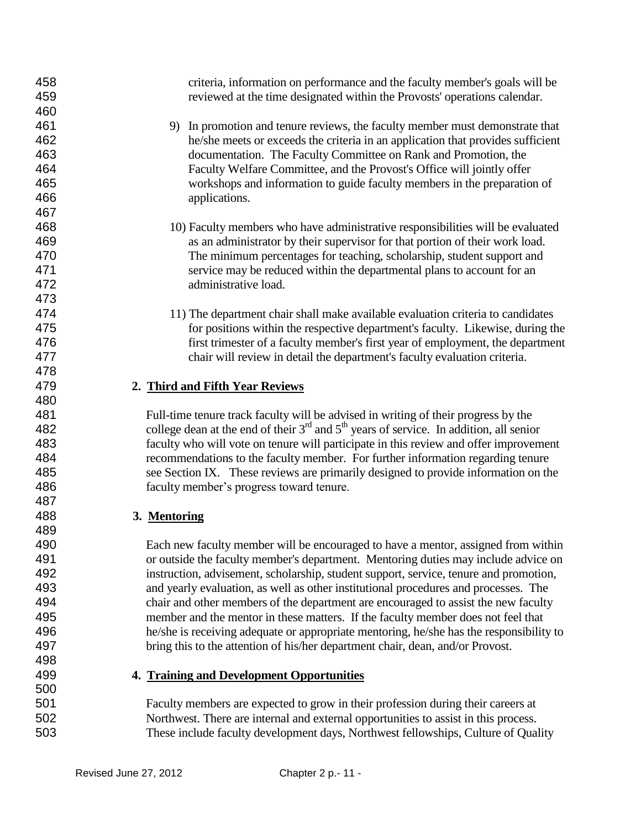| 458<br>459 | criteria, information on performance and the faculty member's goals will be<br>reviewed at the time designated within the Provosts' operations calendar.                  |
|------------|---------------------------------------------------------------------------------------------------------------------------------------------------------------------------|
| 460        |                                                                                                                                                                           |
| 461        | 9) In promotion and tenure reviews, the faculty member must demonstrate that                                                                                              |
| 462        | he/she meets or exceeds the criteria in an application that provides sufficient                                                                                           |
| 463        | documentation. The Faculty Committee on Rank and Promotion, the                                                                                                           |
| 464        | Faculty Welfare Committee, and the Provost's Office will jointly offer                                                                                                    |
| 465        | workshops and information to guide faculty members in the preparation of                                                                                                  |
| 466        | applications.                                                                                                                                                             |
| 467        |                                                                                                                                                                           |
| 468        | 10) Faculty members who have administrative responsibilities will be evaluated                                                                                            |
| 469        | as an administrator by their supervisor for that portion of their work load.                                                                                              |
| 470        | The minimum percentages for teaching, scholarship, student support and                                                                                                    |
| 471        | service may be reduced within the departmental plans to account for an                                                                                                    |
| 472        | administrative load.                                                                                                                                                      |
| 473        |                                                                                                                                                                           |
| 474        | 11) The department chair shall make available evaluation criteria to candidates                                                                                           |
| 475        | for positions within the respective department's faculty. Likewise, during the                                                                                            |
| 476        | first trimester of a faculty member's first year of employment, the department                                                                                            |
| 477        | chair will review in detail the department's faculty evaluation criteria.                                                                                                 |
| 478        |                                                                                                                                                                           |
| 479        | 2. Third and Fifth Year Reviews                                                                                                                                           |
| 480        |                                                                                                                                                                           |
| 481        | Full-time tenure track faculty will be advised in writing of their progress by the                                                                                        |
| 482        | college dean at the end of their $3rd$ and $5th$ years of service. In addition, all senior                                                                                |
| 483        | faculty who will vote on tenure will participate in this review and offer improvement                                                                                     |
| 484        | recommendations to the faculty member. For further information regarding tenure                                                                                           |
| 485        | see Section IX. These reviews are primarily designed to provide information on the                                                                                        |
| 486        | faculty member's progress toward tenure.                                                                                                                                  |
| 487        |                                                                                                                                                                           |
| 488        | 3. Mentoring                                                                                                                                                              |
| 489        |                                                                                                                                                                           |
| 490        | Each new faculty member will be encouraged to have a mentor, assigned from within                                                                                         |
| 491        | or outside the faculty member's department. Mentoring duties may include advice on                                                                                        |
| 492        | instruction, advisement, scholarship, student support, service, tenure and promotion,                                                                                     |
| 493        | and yearly evaluation, as well as other institutional procedures and processes. The                                                                                       |
| 494        | chair and other members of the department are encouraged to assist the new faculty                                                                                        |
| 495<br>496 | member and the mentor in these matters. If the faculty member does not feel that                                                                                          |
| 497        | he/she is receiving adequate or appropriate mentoring, he/she has the responsibility to<br>bring this to the attention of his/her department chair, dean, and/or Provost. |
| 498        |                                                                                                                                                                           |
| 499        | 4. Training and Development Opportunities                                                                                                                                 |
| 500        |                                                                                                                                                                           |
| 501        | Faculty members are expected to grow in their profession during their careers at                                                                                          |
| 502        | Northwest. There are internal and external opportunities to assist in this process.                                                                                       |
| 503        | These include faculty development days, Northwest fellowships, Culture of Quality                                                                                         |
|            |                                                                                                                                                                           |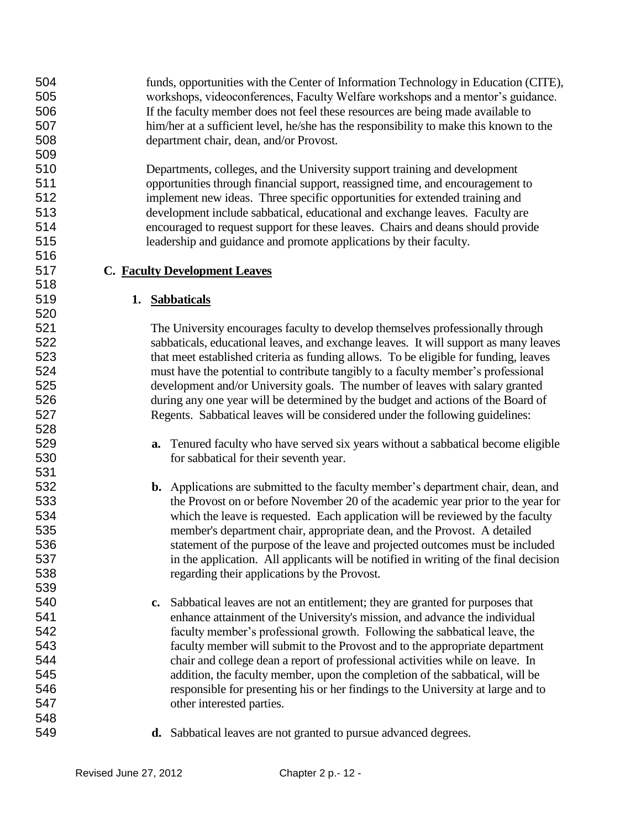funds, opportunities with the Center of Information Technology in Education (CITE), workshops, videoconferences, Faculty Welfare workshops and a mentor's guidance. If the faculty member does not feel these resources are being made available to him/her at a sufficient level, he/she has the responsibility to make this known to the department chair, dean, and/or Provost.

 Departments, colleges, and the University support training and development opportunities through financial support, reassigned time, and encouragement to implement new ideas. Three specific opportunities for extended training and development include sabbatical, educational and exchange leaves. Faculty are encouraged to request support for these leaves. Chairs and deans should provide leadership and guidance and promote applications by their faculty.

## **C. Faculty Development Leaves**

## **1. Sabbaticals**

 The University encourages faculty to develop themselves professionally through sabbaticals, educational leaves, and exchange leaves. It will support as many leaves that meet established criteria as funding allows. To be eligible for funding, leaves must have the potential to contribute tangibly to a faculty member's professional development and/or University goals. The number of leaves with salary granted during any one year will be determined by the budget and actions of the Board of Regents. Sabbatical leaves will be considered under the following guidelines:

- **a.** Tenured faculty who have served six years without a sabbatical become eligible for sabbatical for their seventh year.
- **b.** Applications are submitted to the faculty member's department chair, dean, and the Provost on or before November 20 of the academic year prior to the year for which the leave is requested. Each application will be reviewed by the faculty member's department chair, appropriate dean, and the Provost. A detailed statement of the purpose of the leave and projected outcomes must be included in the application. All applicants will be notified in writing of the final decision regarding their applications by the Provost.
- **c.** Sabbatical leaves are not an entitlement; they are granted for purposes that enhance attainment of the University's mission, and advance the individual faculty member's professional growth. Following the sabbatical leave, the faculty member will submit to the Provost and to the appropriate department chair and college dean a report of professional activities while on leave. In addition, the faculty member, upon the completion of the sabbatical, will be responsible for presenting his or her findings to the University at large and to other interested parties.
- **d.** Sabbatical leaves are not granted to pursue advanced degrees.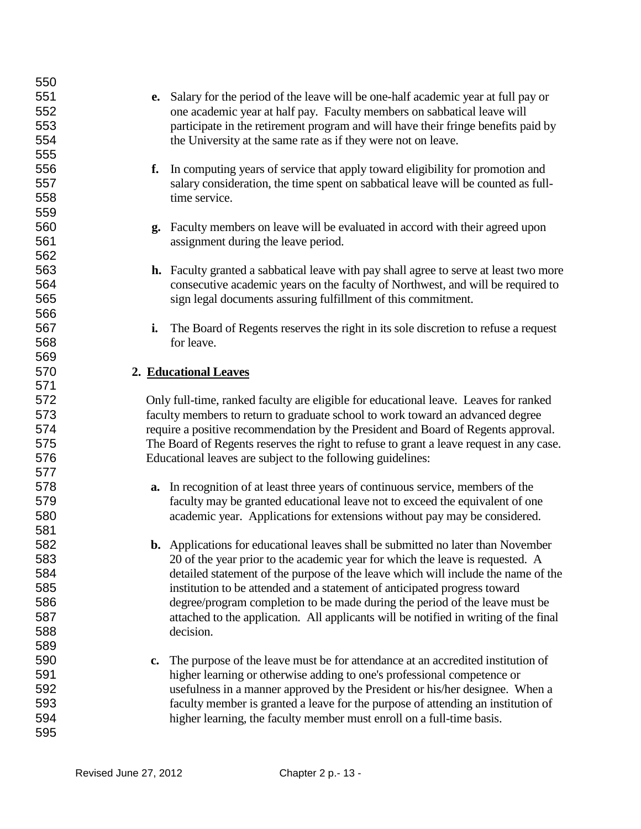| 551<br>Salary for the period of the leave will be one-half academic year at full pay or<br>e.<br>552<br>one academic year at half pay. Faculty members on sabbatical leave will<br>553<br>participate in the retirement program and will have their fringe benefits paid by<br>554<br>the University at the same rate as if they were not on leave.<br>555<br>556<br>In computing years of service that apply toward eligibility for promotion and<br>f.<br>557<br>salary consideration, the time spent on sabbatical leave will be counted as full-<br>558<br>time service.<br>559<br>560<br><b>g.</b> Faculty members on leave will be evaluated in accord with their agreed upon<br>561<br>assignment during the leave period.<br>562<br>563<br><b>h.</b> Faculty granted a sabbatical leave with pay shall agree to serve at least two more<br>564<br>consecutive academic years on the faculty of Northwest, and will be required to<br>565<br>sign legal documents assuring fulfillment of this commitment.<br>566<br>567<br>The Board of Regents reserves the right in its sole discretion to refuse a request<br>i.<br>568<br>for leave.<br>569<br>570<br>2. Educational Leaves<br>571<br>572<br>Only full-time, ranked faculty are eligible for educational leave. Leaves for ranked<br>573<br>faculty members to return to graduate school to work toward an advanced degree<br>574<br>require a positive recommendation by the President and Board of Regents approval.<br>575<br>The Board of Regents reserves the right to refuse to grant a leave request in any case.<br>576<br>Educational leaves are subject to the following guidelines:<br>577<br>a. In recognition of at least three years of continuous service, members of the<br>578<br>579<br>faculty may be granted educational leave not to exceed the equivalent of one<br>580<br>academic year. Applications for extensions without pay may be considered.<br>581<br>582<br><b>b.</b> Applications for educational leaves shall be submitted no later than November<br>583<br>20 of the year prior to the academic year for which the leave is requested. A<br>584<br>detailed statement of the purpose of the leave which will include the name of the<br>585<br>institution to be attended and a statement of anticipated progress toward<br>586<br>degree/program completion to be made during the period of the leave must be<br>587<br>attached to the application. All applicants will be notified in writing of the final<br>588<br>decision.<br>589<br>590<br>The purpose of the leave must be for attendance at an accredited institution of<br>$\mathbf{c}$ . | 550 |                                                                         |
|-----------------------------------------------------------------------------------------------------------------------------------------------------------------------------------------------------------------------------------------------------------------------------------------------------------------------------------------------------------------------------------------------------------------------------------------------------------------------------------------------------------------------------------------------------------------------------------------------------------------------------------------------------------------------------------------------------------------------------------------------------------------------------------------------------------------------------------------------------------------------------------------------------------------------------------------------------------------------------------------------------------------------------------------------------------------------------------------------------------------------------------------------------------------------------------------------------------------------------------------------------------------------------------------------------------------------------------------------------------------------------------------------------------------------------------------------------------------------------------------------------------------------------------------------------------------------------------------------------------------------------------------------------------------------------------------------------------------------------------------------------------------------------------------------------------------------------------------------------------------------------------------------------------------------------------------------------------------------------------------------------------------------------------------------------------------------------------------------------------------------------------------------------------------------------------------------------------------------------------------------------------------------------------------------------------------------------------------------------------------------------------------------------------------------------------------------------------------------------------------------------------------------------------------------------------------------------------------------------------------------------------------------------|-----|-------------------------------------------------------------------------|
|                                                                                                                                                                                                                                                                                                                                                                                                                                                                                                                                                                                                                                                                                                                                                                                                                                                                                                                                                                                                                                                                                                                                                                                                                                                                                                                                                                                                                                                                                                                                                                                                                                                                                                                                                                                                                                                                                                                                                                                                                                                                                                                                                                                                                                                                                                                                                                                                                                                                                                                                                                                                                                                     |     |                                                                         |
|                                                                                                                                                                                                                                                                                                                                                                                                                                                                                                                                                                                                                                                                                                                                                                                                                                                                                                                                                                                                                                                                                                                                                                                                                                                                                                                                                                                                                                                                                                                                                                                                                                                                                                                                                                                                                                                                                                                                                                                                                                                                                                                                                                                                                                                                                                                                                                                                                                                                                                                                                                                                                                                     |     |                                                                         |
|                                                                                                                                                                                                                                                                                                                                                                                                                                                                                                                                                                                                                                                                                                                                                                                                                                                                                                                                                                                                                                                                                                                                                                                                                                                                                                                                                                                                                                                                                                                                                                                                                                                                                                                                                                                                                                                                                                                                                                                                                                                                                                                                                                                                                                                                                                                                                                                                                                                                                                                                                                                                                                                     |     |                                                                         |
|                                                                                                                                                                                                                                                                                                                                                                                                                                                                                                                                                                                                                                                                                                                                                                                                                                                                                                                                                                                                                                                                                                                                                                                                                                                                                                                                                                                                                                                                                                                                                                                                                                                                                                                                                                                                                                                                                                                                                                                                                                                                                                                                                                                                                                                                                                                                                                                                                                                                                                                                                                                                                                                     |     |                                                                         |
|                                                                                                                                                                                                                                                                                                                                                                                                                                                                                                                                                                                                                                                                                                                                                                                                                                                                                                                                                                                                                                                                                                                                                                                                                                                                                                                                                                                                                                                                                                                                                                                                                                                                                                                                                                                                                                                                                                                                                                                                                                                                                                                                                                                                                                                                                                                                                                                                                                                                                                                                                                                                                                                     |     |                                                                         |
|                                                                                                                                                                                                                                                                                                                                                                                                                                                                                                                                                                                                                                                                                                                                                                                                                                                                                                                                                                                                                                                                                                                                                                                                                                                                                                                                                                                                                                                                                                                                                                                                                                                                                                                                                                                                                                                                                                                                                                                                                                                                                                                                                                                                                                                                                                                                                                                                                                                                                                                                                                                                                                                     |     |                                                                         |
|                                                                                                                                                                                                                                                                                                                                                                                                                                                                                                                                                                                                                                                                                                                                                                                                                                                                                                                                                                                                                                                                                                                                                                                                                                                                                                                                                                                                                                                                                                                                                                                                                                                                                                                                                                                                                                                                                                                                                                                                                                                                                                                                                                                                                                                                                                                                                                                                                                                                                                                                                                                                                                                     |     |                                                                         |
|                                                                                                                                                                                                                                                                                                                                                                                                                                                                                                                                                                                                                                                                                                                                                                                                                                                                                                                                                                                                                                                                                                                                                                                                                                                                                                                                                                                                                                                                                                                                                                                                                                                                                                                                                                                                                                                                                                                                                                                                                                                                                                                                                                                                                                                                                                                                                                                                                                                                                                                                                                                                                                                     |     |                                                                         |
|                                                                                                                                                                                                                                                                                                                                                                                                                                                                                                                                                                                                                                                                                                                                                                                                                                                                                                                                                                                                                                                                                                                                                                                                                                                                                                                                                                                                                                                                                                                                                                                                                                                                                                                                                                                                                                                                                                                                                                                                                                                                                                                                                                                                                                                                                                                                                                                                                                                                                                                                                                                                                                                     |     |                                                                         |
|                                                                                                                                                                                                                                                                                                                                                                                                                                                                                                                                                                                                                                                                                                                                                                                                                                                                                                                                                                                                                                                                                                                                                                                                                                                                                                                                                                                                                                                                                                                                                                                                                                                                                                                                                                                                                                                                                                                                                                                                                                                                                                                                                                                                                                                                                                                                                                                                                                                                                                                                                                                                                                                     |     |                                                                         |
|                                                                                                                                                                                                                                                                                                                                                                                                                                                                                                                                                                                                                                                                                                                                                                                                                                                                                                                                                                                                                                                                                                                                                                                                                                                                                                                                                                                                                                                                                                                                                                                                                                                                                                                                                                                                                                                                                                                                                                                                                                                                                                                                                                                                                                                                                                                                                                                                                                                                                                                                                                                                                                                     |     |                                                                         |
|                                                                                                                                                                                                                                                                                                                                                                                                                                                                                                                                                                                                                                                                                                                                                                                                                                                                                                                                                                                                                                                                                                                                                                                                                                                                                                                                                                                                                                                                                                                                                                                                                                                                                                                                                                                                                                                                                                                                                                                                                                                                                                                                                                                                                                                                                                                                                                                                                                                                                                                                                                                                                                                     |     |                                                                         |
|                                                                                                                                                                                                                                                                                                                                                                                                                                                                                                                                                                                                                                                                                                                                                                                                                                                                                                                                                                                                                                                                                                                                                                                                                                                                                                                                                                                                                                                                                                                                                                                                                                                                                                                                                                                                                                                                                                                                                                                                                                                                                                                                                                                                                                                                                                                                                                                                                                                                                                                                                                                                                                                     |     |                                                                         |
|                                                                                                                                                                                                                                                                                                                                                                                                                                                                                                                                                                                                                                                                                                                                                                                                                                                                                                                                                                                                                                                                                                                                                                                                                                                                                                                                                                                                                                                                                                                                                                                                                                                                                                                                                                                                                                                                                                                                                                                                                                                                                                                                                                                                                                                                                                                                                                                                                                                                                                                                                                                                                                                     |     |                                                                         |
|                                                                                                                                                                                                                                                                                                                                                                                                                                                                                                                                                                                                                                                                                                                                                                                                                                                                                                                                                                                                                                                                                                                                                                                                                                                                                                                                                                                                                                                                                                                                                                                                                                                                                                                                                                                                                                                                                                                                                                                                                                                                                                                                                                                                                                                                                                                                                                                                                                                                                                                                                                                                                                                     |     |                                                                         |
|                                                                                                                                                                                                                                                                                                                                                                                                                                                                                                                                                                                                                                                                                                                                                                                                                                                                                                                                                                                                                                                                                                                                                                                                                                                                                                                                                                                                                                                                                                                                                                                                                                                                                                                                                                                                                                                                                                                                                                                                                                                                                                                                                                                                                                                                                                                                                                                                                                                                                                                                                                                                                                                     |     |                                                                         |
|                                                                                                                                                                                                                                                                                                                                                                                                                                                                                                                                                                                                                                                                                                                                                                                                                                                                                                                                                                                                                                                                                                                                                                                                                                                                                                                                                                                                                                                                                                                                                                                                                                                                                                                                                                                                                                                                                                                                                                                                                                                                                                                                                                                                                                                                                                                                                                                                                                                                                                                                                                                                                                                     |     |                                                                         |
|                                                                                                                                                                                                                                                                                                                                                                                                                                                                                                                                                                                                                                                                                                                                                                                                                                                                                                                                                                                                                                                                                                                                                                                                                                                                                                                                                                                                                                                                                                                                                                                                                                                                                                                                                                                                                                                                                                                                                                                                                                                                                                                                                                                                                                                                                                                                                                                                                                                                                                                                                                                                                                                     |     |                                                                         |
|                                                                                                                                                                                                                                                                                                                                                                                                                                                                                                                                                                                                                                                                                                                                                                                                                                                                                                                                                                                                                                                                                                                                                                                                                                                                                                                                                                                                                                                                                                                                                                                                                                                                                                                                                                                                                                                                                                                                                                                                                                                                                                                                                                                                                                                                                                                                                                                                                                                                                                                                                                                                                                                     |     |                                                                         |
|                                                                                                                                                                                                                                                                                                                                                                                                                                                                                                                                                                                                                                                                                                                                                                                                                                                                                                                                                                                                                                                                                                                                                                                                                                                                                                                                                                                                                                                                                                                                                                                                                                                                                                                                                                                                                                                                                                                                                                                                                                                                                                                                                                                                                                                                                                                                                                                                                                                                                                                                                                                                                                                     |     |                                                                         |
|                                                                                                                                                                                                                                                                                                                                                                                                                                                                                                                                                                                                                                                                                                                                                                                                                                                                                                                                                                                                                                                                                                                                                                                                                                                                                                                                                                                                                                                                                                                                                                                                                                                                                                                                                                                                                                                                                                                                                                                                                                                                                                                                                                                                                                                                                                                                                                                                                                                                                                                                                                                                                                                     |     |                                                                         |
|                                                                                                                                                                                                                                                                                                                                                                                                                                                                                                                                                                                                                                                                                                                                                                                                                                                                                                                                                                                                                                                                                                                                                                                                                                                                                                                                                                                                                                                                                                                                                                                                                                                                                                                                                                                                                                                                                                                                                                                                                                                                                                                                                                                                                                                                                                                                                                                                                                                                                                                                                                                                                                                     |     |                                                                         |
|                                                                                                                                                                                                                                                                                                                                                                                                                                                                                                                                                                                                                                                                                                                                                                                                                                                                                                                                                                                                                                                                                                                                                                                                                                                                                                                                                                                                                                                                                                                                                                                                                                                                                                                                                                                                                                                                                                                                                                                                                                                                                                                                                                                                                                                                                                                                                                                                                                                                                                                                                                                                                                                     |     |                                                                         |
|                                                                                                                                                                                                                                                                                                                                                                                                                                                                                                                                                                                                                                                                                                                                                                                                                                                                                                                                                                                                                                                                                                                                                                                                                                                                                                                                                                                                                                                                                                                                                                                                                                                                                                                                                                                                                                                                                                                                                                                                                                                                                                                                                                                                                                                                                                                                                                                                                                                                                                                                                                                                                                                     |     |                                                                         |
|                                                                                                                                                                                                                                                                                                                                                                                                                                                                                                                                                                                                                                                                                                                                                                                                                                                                                                                                                                                                                                                                                                                                                                                                                                                                                                                                                                                                                                                                                                                                                                                                                                                                                                                                                                                                                                                                                                                                                                                                                                                                                                                                                                                                                                                                                                                                                                                                                                                                                                                                                                                                                                                     |     |                                                                         |
|                                                                                                                                                                                                                                                                                                                                                                                                                                                                                                                                                                                                                                                                                                                                                                                                                                                                                                                                                                                                                                                                                                                                                                                                                                                                                                                                                                                                                                                                                                                                                                                                                                                                                                                                                                                                                                                                                                                                                                                                                                                                                                                                                                                                                                                                                                                                                                                                                                                                                                                                                                                                                                                     |     |                                                                         |
|                                                                                                                                                                                                                                                                                                                                                                                                                                                                                                                                                                                                                                                                                                                                                                                                                                                                                                                                                                                                                                                                                                                                                                                                                                                                                                                                                                                                                                                                                                                                                                                                                                                                                                                                                                                                                                                                                                                                                                                                                                                                                                                                                                                                                                                                                                                                                                                                                                                                                                                                                                                                                                                     |     |                                                                         |
|                                                                                                                                                                                                                                                                                                                                                                                                                                                                                                                                                                                                                                                                                                                                                                                                                                                                                                                                                                                                                                                                                                                                                                                                                                                                                                                                                                                                                                                                                                                                                                                                                                                                                                                                                                                                                                                                                                                                                                                                                                                                                                                                                                                                                                                                                                                                                                                                                                                                                                                                                                                                                                                     |     |                                                                         |
|                                                                                                                                                                                                                                                                                                                                                                                                                                                                                                                                                                                                                                                                                                                                                                                                                                                                                                                                                                                                                                                                                                                                                                                                                                                                                                                                                                                                                                                                                                                                                                                                                                                                                                                                                                                                                                                                                                                                                                                                                                                                                                                                                                                                                                                                                                                                                                                                                                                                                                                                                                                                                                                     |     |                                                                         |
|                                                                                                                                                                                                                                                                                                                                                                                                                                                                                                                                                                                                                                                                                                                                                                                                                                                                                                                                                                                                                                                                                                                                                                                                                                                                                                                                                                                                                                                                                                                                                                                                                                                                                                                                                                                                                                                                                                                                                                                                                                                                                                                                                                                                                                                                                                                                                                                                                                                                                                                                                                                                                                                     |     |                                                                         |
|                                                                                                                                                                                                                                                                                                                                                                                                                                                                                                                                                                                                                                                                                                                                                                                                                                                                                                                                                                                                                                                                                                                                                                                                                                                                                                                                                                                                                                                                                                                                                                                                                                                                                                                                                                                                                                                                                                                                                                                                                                                                                                                                                                                                                                                                                                                                                                                                                                                                                                                                                                                                                                                     |     |                                                                         |
|                                                                                                                                                                                                                                                                                                                                                                                                                                                                                                                                                                                                                                                                                                                                                                                                                                                                                                                                                                                                                                                                                                                                                                                                                                                                                                                                                                                                                                                                                                                                                                                                                                                                                                                                                                                                                                                                                                                                                                                                                                                                                                                                                                                                                                                                                                                                                                                                                                                                                                                                                                                                                                                     |     |                                                                         |
|                                                                                                                                                                                                                                                                                                                                                                                                                                                                                                                                                                                                                                                                                                                                                                                                                                                                                                                                                                                                                                                                                                                                                                                                                                                                                                                                                                                                                                                                                                                                                                                                                                                                                                                                                                                                                                                                                                                                                                                                                                                                                                                                                                                                                                                                                                                                                                                                                                                                                                                                                                                                                                                     |     |                                                                         |
|                                                                                                                                                                                                                                                                                                                                                                                                                                                                                                                                                                                                                                                                                                                                                                                                                                                                                                                                                                                                                                                                                                                                                                                                                                                                                                                                                                                                                                                                                                                                                                                                                                                                                                                                                                                                                                                                                                                                                                                                                                                                                                                                                                                                                                                                                                                                                                                                                                                                                                                                                                                                                                                     |     |                                                                         |
|                                                                                                                                                                                                                                                                                                                                                                                                                                                                                                                                                                                                                                                                                                                                                                                                                                                                                                                                                                                                                                                                                                                                                                                                                                                                                                                                                                                                                                                                                                                                                                                                                                                                                                                                                                                                                                                                                                                                                                                                                                                                                                                                                                                                                                                                                                                                                                                                                                                                                                                                                                                                                                                     |     |                                                                         |
|                                                                                                                                                                                                                                                                                                                                                                                                                                                                                                                                                                                                                                                                                                                                                                                                                                                                                                                                                                                                                                                                                                                                                                                                                                                                                                                                                                                                                                                                                                                                                                                                                                                                                                                                                                                                                                                                                                                                                                                                                                                                                                                                                                                                                                                                                                                                                                                                                                                                                                                                                                                                                                                     |     |                                                                         |
|                                                                                                                                                                                                                                                                                                                                                                                                                                                                                                                                                                                                                                                                                                                                                                                                                                                                                                                                                                                                                                                                                                                                                                                                                                                                                                                                                                                                                                                                                                                                                                                                                                                                                                                                                                                                                                                                                                                                                                                                                                                                                                                                                                                                                                                                                                                                                                                                                                                                                                                                                                                                                                                     |     |                                                                         |
|                                                                                                                                                                                                                                                                                                                                                                                                                                                                                                                                                                                                                                                                                                                                                                                                                                                                                                                                                                                                                                                                                                                                                                                                                                                                                                                                                                                                                                                                                                                                                                                                                                                                                                                                                                                                                                                                                                                                                                                                                                                                                                                                                                                                                                                                                                                                                                                                                                                                                                                                                                                                                                                     |     |                                                                         |
|                                                                                                                                                                                                                                                                                                                                                                                                                                                                                                                                                                                                                                                                                                                                                                                                                                                                                                                                                                                                                                                                                                                                                                                                                                                                                                                                                                                                                                                                                                                                                                                                                                                                                                                                                                                                                                                                                                                                                                                                                                                                                                                                                                                                                                                                                                                                                                                                                                                                                                                                                                                                                                                     |     |                                                                         |
|                                                                                                                                                                                                                                                                                                                                                                                                                                                                                                                                                                                                                                                                                                                                                                                                                                                                                                                                                                                                                                                                                                                                                                                                                                                                                                                                                                                                                                                                                                                                                                                                                                                                                                                                                                                                                                                                                                                                                                                                                                                                                                                                                                                                                                                                                                                                                                                                                                                                                                                                                                                                                                                     |     |                                                                         |
|                                                                                                                                                                                                                                                                                                                                                                                                                                                                                                                                                                                                                                                                                                                                                                                                                                                                                                                                                                                                                                                                                                                                                                                                                                                                                                                                                                                                                                                                                                                                                                                                                                                                                                                                                                                                                                                                                                                                                                                                                                                                                                                                                                                                                                                                                                                                                                                                                                                                                                                                                                                                                                                     | 591 | higher learning or otherwise adding to one's professional competence or |
| usefulness in a manner approved by the President or his/her designee. When a                                                                                                                                                                                                                                                                                                                                                                                                                                                                                                                                                                                                                                                                                                                                                                                                                                                                                                                                                                                                                                                                                                                                                                                                                                                                                                                                                                                                                                                                                                                                                                                                                                                                                                                                                                                                                                                                                                                                                                                                                                                                                                                                                                                                                                                                                                                                                                                                                                                                                                                                                                        | 592 |                                                                         |
| faculty member is granted a leave for the purpose of attending an institution of                                                                                                                                                                                                                                                                                                                                                                                                                                                                                                                                                                                                                                                                                                                                                                                                                                                                                                                                                                                                                                                                                                                                                                                                                                                                                                                                                                                                                                                                                                                                                                                                                                                                                                                                                                                                                                                                                                                                                                                                                                                                                                                                                                                                                                                                                                                                                                                                                                                                                                                                                                    | 593 |                                                                         |
| higher learning, the faculty member must enroll on a full-time basis.                                                                                                                                                                                                                                                                                                                                                                                                                                                                                                                                                                                                                                                                                                                                                                                                                                                                                                                                                                                                                                                                                                                                                                                                                                                                                                                                                                                                                                                                                                                                                                                                                                                                                                                                                                                                                                                                                                                                                                                                                                                                                                                                                                                                                                                                                                                                                                                                                                                                                                                                                                               | 594 |                                                                         |
|                                                                                                                                                                                                                                                                                                                                                                                                                                                                                                                                                                                                                                                                                                                                                                                                                                                                                                                                                                                                                                                                                                                                                                                                                                                                                                                                                                                                                                                                                                                                                                                                                                                                                                                                                                                                                                                                                                                                                                                                                                                                                                                                                                                                                                                                                                                                                                                                                                                                                                                                                                                                                                                     | 595 |                                                                         |